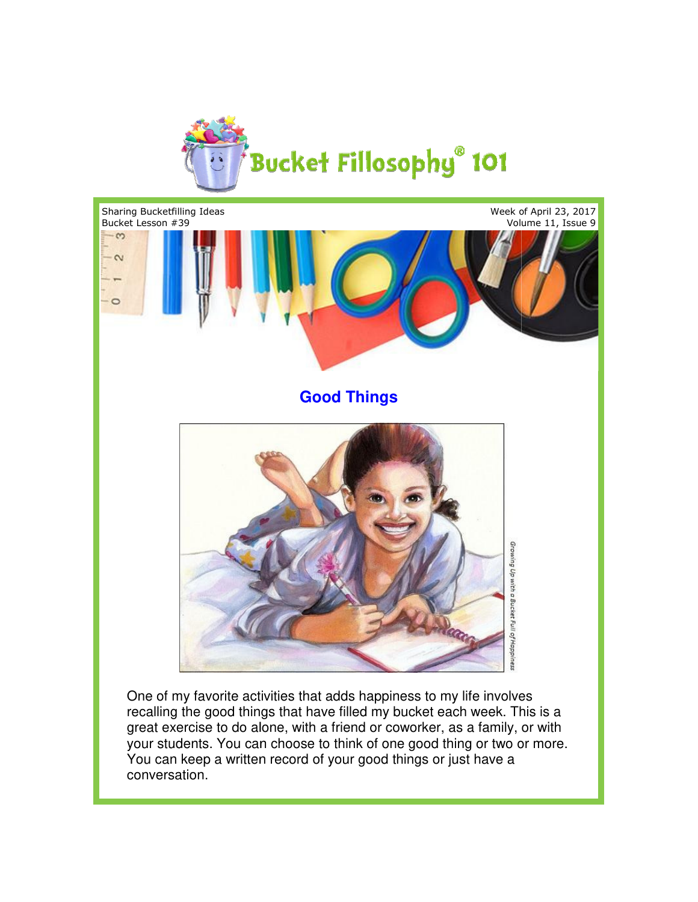



One of my favorite activities that adds happiness to my life involves One of my favorite activities that adds happiness to my life involves<br>recalling the good things that have filled my bucket each week. This is a great exercise to do alone, with a friend or coworker, as a family, or with your students. You can choose to think of one good thing or two or more. You can keep a written record of your good things or just have a conversation.